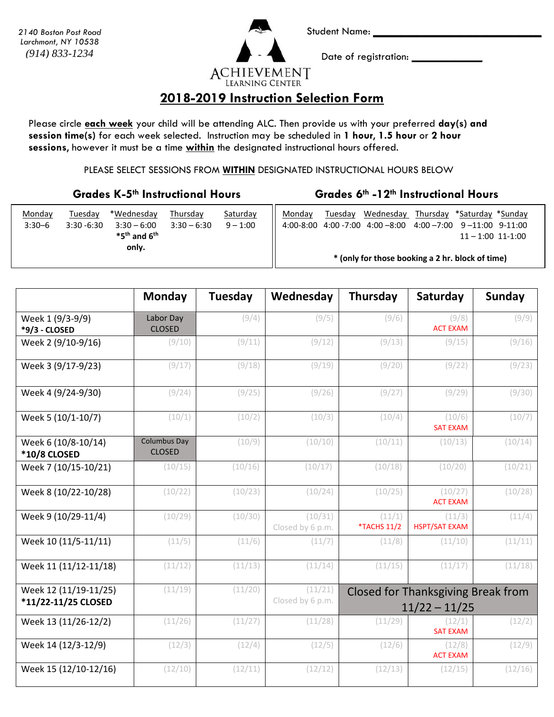*2140 Boston Post Road Larchmont, NY 10538 (914) 833-1234*

**ACHIEVEMENT** 

Student Name: **\_\_\_\_\_\_\_\_\_\_\_\_\_\_\_\_\_\_\_\_\_\_\_\_\_\_\_\_\_\_\_**

Date of registration: **\_\_\_\_\_\_\_\_\_\_\_\_\_**

### **LEARNING CENTER**

#### **2018-2019 Instruction Selection Form**

Please circle **each week** your child will be attending ALC. Then provide us with your preferred **day(s) and session time(s)** for each week selected. Instruction may be scheduled in **1 hour**, **1.5 hour** or **2 hour sessions**, however it must be a time **within** the designated instructional hours offered.

PLEASE SELECT SESSIONS FROM **WITHIN** DESIGNATED INSTRUCTIONAL HOURS BELOW

#### **Grades K-5th Instructional Hours Grades 6th -12th Instructional Hours**

| Monday<br>$3:30 - 6$ | Tuesdav<br>$3:30 - 6:30$ | *Wednesday<br>$3:30 - 6:00$<br>$*5th$ and $6th$<br>only. | Thursdav<br>$3:30 - 6:30$ | Saturday<br>$9 - 1:00$ | Mondav                                           | Tuesday | Wednesday<br>4:00-8:00 4:00 -7:00 4:00 -8:00 | Thursday *Saturday *Sunday<br>4:00 -7:00 9 -11:00 9-11:00 | $11 - 1:00$ 11-1:00 |  |
|----------------------|--------------------------|----------------------------------------------------------|---------------------------|------------------------|--------------------------------------------------|---------|----------------------------------------------|-----------------------------------------------------------|---------------------|--|
|                      |                          |                                                          |                           |                        | * (only for those booking a 2 hr. block of time) |         |                                              |                                                           |                     |  |

|                                              | <b>Monday</b>                        | Tuesday | Wednesday                   | Thursday              | Saturday                                                     | <b>Sunday</b> |
|----------------------------------------------|--------------------------------------|---------|-----------------------------|-----------------------|--------------------------------------------------------------|---------------|
| Week 1 (9/3-9/9)<br>*9/3 - CLOSED            | Labor Day<br><b>CLOSED</b>           | (9/4)   | (9/5)                       | (9/6)                 | (9/8)<br><b>ACT EXAM</b>                                     | (9/9)         |
| Week 2 (9/10-9/16)                           | (9/10)                               | (9/11)  | (9/12)                      | (9/13)                | (9/15)                                                       | (9/16)        |
| Week 3 (9/17-9/23)                           | (9/17)                               | (9/18)  | (9/19)                      | (9/20)                | (9/22)                                                       | (9/23)        |
| Week 4 (9/24-9/30)                           | (9/24)                               | (9/25)  | (9/26)                      | (9/27)                | (9/29)                                                       | (9/30)        |
| Week 5 (10/1-10/7)                           | (10/1)                               | (10/2)  | (10/3)                      | (10/4)                | (10/6)<br><b>SAT EXAM</b>                                    | (10/7)        |
| Week 6 (10/8-10/14)<br><b>*10/8 CLOSED</b>   | <b>Columbus Day</b><br><b>CLOSED</b> | (10/9)  | (10/10)                     | (10/11)               | (10/13)                                                      | (10/14)       |
| Week 7 (10/15-10/21)                         | (10/15)                              | (10/16) | (10/17)                     | (10/18)               | (10/20)                                                      | (10/21)       |
| Week 8 (10/22-10/28)                         | (10/22)                              | (10/23) | (10/24)                     | (10/25)               | (10/27)<br><b>ACT EXAM</b>                                   | (10/28)       |
| Week 9 (10/29-11/4)                          | (10/29)                              | (10/30) | (10/31)<br>Closed by 6 p.m. | (11/1)<br>*TACHS 11/2 | (11/3)<br><b>HSPT/SAT EXAM</b>                               | (11/4)        |
| Week 10 (11/5-11/11)                         | (11/5)                               | (11/6)  | (11/7)                      | (11/8)                | (11/10)                                                      | (11/11)       |
| Week 11 (11/12-11/18)                        | (11/12)                              | (11/13) | (11/14)                     | (11/15)               | (11/17)                                                      | (11/18)       |
| Week 12 (11/19-11/25)<br>*11/22-11/25 CLOSED | (11/19)                              | (11/20) | (11/21)<br>Closed by 6 p.m. |                       | <b>Closed for Thanksgiving Break from</b><br>$11/22 - 11/25$ |               |
| Week 13 (11/26-12/2)                         | (11/26)                              | (11/27) | (11/28)                     | (11/29)               | (12/1)<br><b>SAT EXAM</b>                                    | (12/2)        |
| Week 14 (12/3-12/9)                          | (12/3)                               | (12/4)  | (12/5)                      | (12/6)                | (12/8)<br><b>ACT EXAM</b>                                    | (12/9)        |
| Week 15 (12/10-12/16)                        | (12/10)                              | (12/11) | (12/12)                     | (12/13)               | (12/15)                                                      | (12/16)       |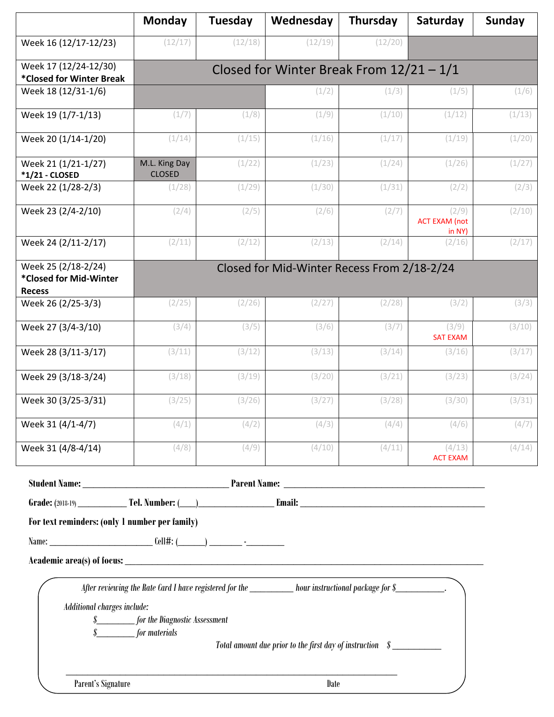|                                                                | Monday                                         | Tuesday | Wednesday                                                                                                                                                                         | <b>Thursday</b> | Saturday                                  | Sunday |  |
|----------------------------------------------------------------|------------------------------------------------|---------|-----------------------------------------------------------------------------------------------------------------------------------------------------------------------------------|-----------------|-------------------------------------------|--------|--|
| Week 16 (12/17-12/23)                                          | (12/17)                                        | (12/18) | (12/19)                                                                                                                                                                           | (12/20)         |                                           |        |  |
| Week 17 (12/24-12/30)<br>*Closed for Winter Break              | Closed for Winter Break From $12/21 - 1/1$     |         |                                                                                                                                                                                   |                 |                                           |        |  |
| Week 18 (12/31-1/6)                                            |                                                |         | (1/2)                                                                                                                                                                             | (1/3)           | (1/5)                                     | (1/6)  |  |
| Week 19 (1/7-1/13)                                             | (1/7)                                          | (1/8)   | (1/9)                                                                                                                                                                             | (1/10)          | (1/12)                                    | (1/13) |  |
| Week 20 (1/14-1/20)                                            | (1/14)                                         | (1/15)  | (1/16)                                                                                                                                                                            | (1/17)          | (1/19)                                    | (1/20) |  |
| Week 21 (1/21-1/27)<br>*1/21 - CLOSED                          | M.L. King Day<br><b>CLOSED</b>                 | (1/22)  | (1/23)                                                                                                                                                                            | (1/24)          | (1/26)                                    | (1/27) |  |
| Week 22 (1/28-2/3)                                             | (1/28)                                         | (1/29)  | (1/30)                                                                                                                                                                            | (1/31)          | (2/2)                                     | (2/3)  |  |
| Week 23 (2/4-2/10)                                             | (2/4)                                          | (2/5)   | (2/6)                                                                                                                                                                             | (2/7)           | (2/9)<br><b>ACT EXAM (not</b><br>in $NY)$ | (2/10) |  |
| Week 24 (2/11-2/17)                                            | (2/11)                                         | (2/12)  | (2/13)                                                                                                                                                                            | (2/14)          | (2/16)                                    | (2/17) |  |
| Week 25 (2/18-2/24)<br>*Closed for Mid-Winter<br><b>Recess</b> |                                                |         | Closed for Mid-Winter Recess From 2/18-2/24                                                                                                                                       |                 |                                           |        |  |
| Week 26 (2/25-3/3)                                             | (2/25)                                         | (2/26)  | (2/27)                                                                                                                                                                            | (2/28)          | (3/2)                                     | (3/3)  |  |
| Week 27 (3/4-3/10)                                             | (3/4)                                          | (3/5)   | (3/6)                                                                                                                                                                             | (3/7)           | (3/9)<br><b>SAT EXAM</b>                  | (3/10) |  |
| Week 28 (3/11-3/17)                                            | (3/11)                                         | (3/12)  | (3/13)                                                                                                                                                                            | (3/14)          | (3/16)                                    | (3/17) |  |
| Week 29 (3/18-3/24)                                            | (3/18)                                         | (3/19)  | (3/20)                                                                                                                                                                            | (3/21)          | (3/23)                                    | (3/24) |  |
| Week 30 (3/25-3/31)                                            | (3/25)                                         | (3/26)  | (3/27)                                                                                                                                                                            | (3/28)          | (3/30)                                    | (3/31) |  |
| Week 31 (4/1-4/7)                                              | (4/1)                                          | (4/2)   | (4/3)                                                                                                                                                                             | (4/4)           | (4/6)                                     | (4/7)  |  |
| Week 31 (4/8-4/14)                                             | (4/8)                                          | (4/9)   | (4/10)                                                                                                                                                                            | (4/11)          | (4/13)<br><b>ACT EXAM</b>                 | (4/14) |  |
|                                                                |                                                |         |                                                                                                                                                                                   |                 |                                           |        |  |
|                                                                |                                                |         |                                                                                                                                                                                   |                 |                                           |        |  |
| For text reminders: (only 1 number per family)                 |                                                |         |                                                                                                                                                                                   |                 |                                           |        |  |
|                                                                |                                                |         |                                                                                                                                                                                   |                 |                                           |        |  |
|                                                                |                                                |         |                                                                                                                                                                                   |                 |                                           |        |  |
| Additional charges include:<br>s                               | for the Diagnostic Assessment<br>for materials |         | After reviewing the Rate Card I have registered for the ____________ hour instructional package for \$_____________.<br>Total amount due prior to the first day of instruction \$ |                 |                                           |        |  |
| Parent's Signature                                             |                                                |         | <b>Date</b>                                                                                                                                                                       |                 |                                           |        |  |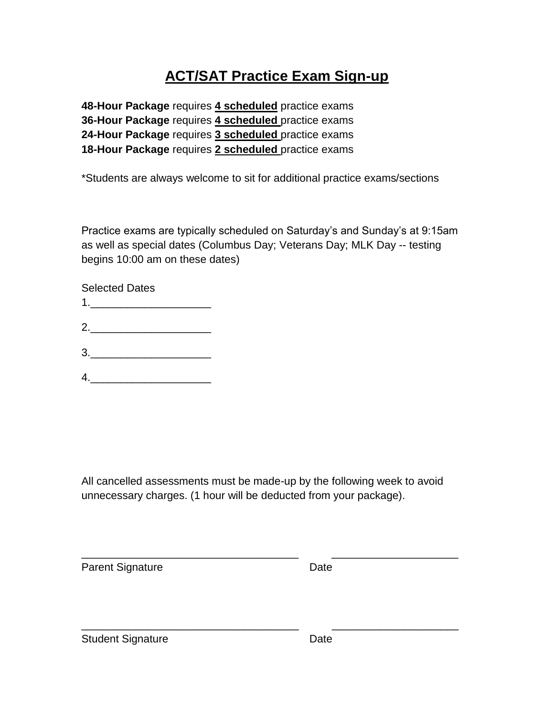## **ACT/SAT Practice Exam Sign-up**

**48-Hour Package** requires **4 scheduled** practice exams **36-Hour Package** requires **4 scheduled** practice exams **24-Hour Package** requires **3 scheduled** practice exams **18-Hour Package** requires **2 scheduled** practice exams

\*Students are always welcome to sit for additional practice exams/sections

Practice exams are typically scheduled on Saturday's and Sunday's at 9:15am as well as special dates (Columbus Day; Veterans Day; MLK Day -- testing begins 10:00 am on these dates)

Selected Dates  $1.$ 2.\_\_\_\_\_\_\_\_\_\_\_\_\_\_\_\_\_\_\_\_  $3.$  $4.$ 

All cancelled assessments must be made-up by the following week to avoid unnecessary charges. (1 hour will be deducted from your package).

\_\_\_\_\_\_\_\_\_\_\_\_\_\_\_\_\_\_\_\_\_\_\_\_\_\_\_\_\_\_\_\_\_\_\_\_ \_\_\_\_\_\_\_\_\_\_\_\_\_\_\_\_\_\_\_\_\_

\_\_\_\_\_\_\_\_\_\_\_\_\_\_\_\_\_\_\_\_\_\_\_\_\_\_\_\_\_\_\_\_\_\_\_\_ \_\_\_\_\_\_\_\_\_\_\_\_\_\_\_\_\_\_\_\_\_

Parent Signature Date

Student Signature Date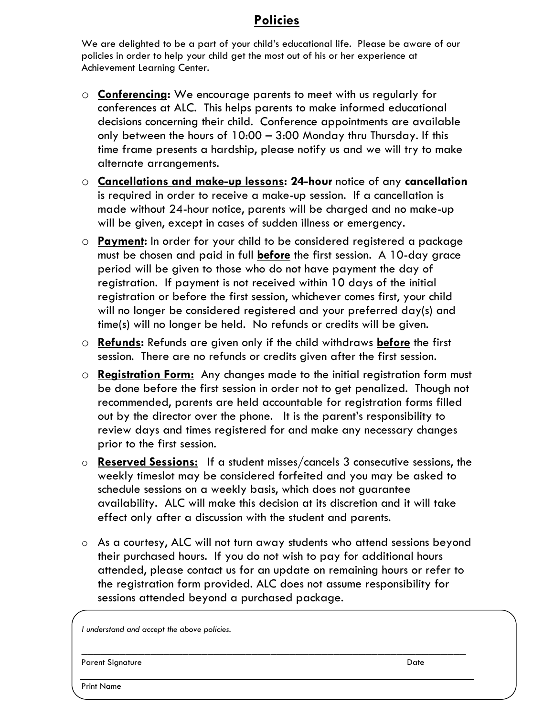#### **Policies**

We are delighted to be a part of your child's educational life. Please be aware of our policies in order to help your child get the most out of his or her experience at Achievement Learning Center.

- o **Conferencing:** We encourage parents to meet with us regularly for conferences at ALC. This helps parents to make informed educational decisions concerning their child. Conference appointments are available only between the hours of 10:00 – 3:00 Monday thru Thursday. If this time frame presents a hardship, please notify us and we will try to make alternate arrangements.
- o **Cancellations and make-up lessons: 24-hour** notice of any **cancellation** is required in order to receive a make-up session. If a cancellation is made without 24-hour notice, parents will be charged and no make-up will be given, except in cases of sudden illness or emergency.
- o **Payment:** In order for your child to be considered registered a package must be chosen and paid in full **before** the first session. A 10-day grace period will be given to those who do not have payment the day of registration. If payment is not received within 10 days of the initial registration or before the first session, whichever comes first, your child will no longer be considered registered and your preferred day(s) and time(s) will no longer be held. No refunds or credits will be given.
- o **Refunds:** Refunds are given only if the child withdraws **before** the first session. There are no refunds or credits given after the first session.
- o **Registration Form:** Any changes made to the initial registration form must be done before the first session in order not to get penalized. Though not recommended, parents are held accountable for registration forms filled out by the director over the phone. It is the parent's responsibility to review days and times registered for and make any necessary changes prior to the first session.
- o **Reserved Sessions:** If a student misses/cancels 3 consecutive sessions, the weekly timeslot may be considered forfeited and you may be asked to schedule sessions on a weekly basis, which does not guarantee availability. ALC will make this decision at its discretion and it will take effect only after a discussion with the student and parents.
- o As a courtesy, ALC will not turn away students who attend sessions beyond their purchased hours. If you do not wish to pay for additional hours attended, please contact us for an update on remaining hours or refer to the registration form provided. ALC does not assume responsibility for sessions attended beyond a purchased package.

\_\_\_\_\_\_\_\_\_\_\_\_\_\_\_\_\_\_\_\_\_\_\_\_\_\_\_\_\_\_\_\_\_\_\_\_\_\_\_\_\_\_\_\_\_\_\_\_\_\_\_\_\_\_\_\_\_\_\_\_\_

*I understand and accept the above policies.*

Parent Signature Date Date of the Date of the Date of the Date of the Date of the Date of the Date of the Date of the Date of the Date of the Date of the Date of the Date of the Date of the Date of the Date of the Date of

Print Name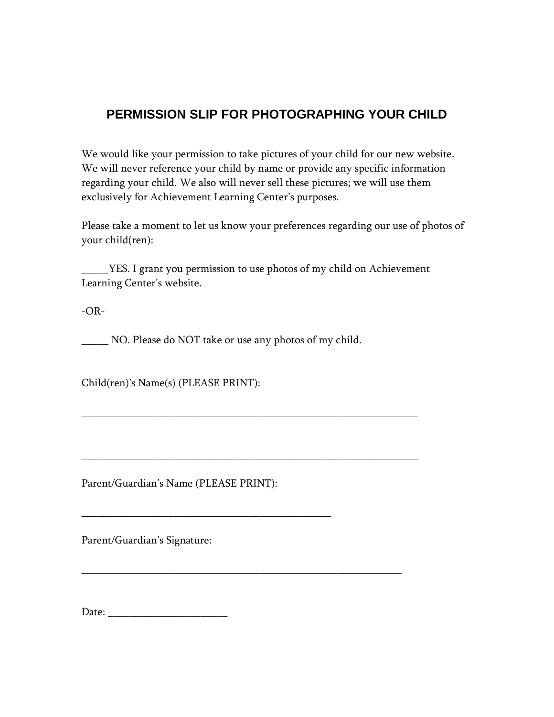#### **PERMISSION SLIP FOR PHOTOGRAPHING YOUR CHILD**

We would like your permission to take pictures of your child for our new website. We will never reference your child by name or provide any specific information regarding your child. We also will never sell these pictures; we will use them exclusively for Achievement Learning Center's purposes.

Please take a moment to let us know your preferences regarding our use of photos of your child(ren):

\_\_\_\_\_YES. I grant you permission to use photos of my child on Achievement Learning Center's website.

-OR-

\_\_\_\_\_ NO. Please do NOT take or use any photos of my child.

\_\_\_\_\_\_\_\_\_\_\_\_\_\_\_\_\_\_\_\_\_\_\_\_\_\_\_\_\_\_\_\_\_\_\_\_\_\_\_\_\_\_\_\_\_\_\_\_\_\_\_\_\_\_\_\_\_\_\_\_\_\_

\_\_\_\_\_\_\_\_\_\_\_\_\_\_\_\_\_\_\_\_\_\_\_\_\_\_\_\_\_\_\_\_\_\_\_\_\_\_\_\_\_\_\_\_\_\_\_\_\_\_\_\_\_\_\_\_\_\_\_\_\_\_

\_\_\_\_\_\_\_\_\_\_\_\_\_\_\_\_\_\_\_\_\_\_\_\_\_\_\_\_\_\_\_\_\_\_\_\_\_\_\_\_\_\_\_\_\_\_\_\_\_\_\_\_\_\_\_\_\_\_\_

Child(ren)'s Name(s) (PLEASE PRINT):

Parent/Guardian's Name (PLEASE PRINT):

\_\_\_\_\_\_\_\_\_\_\_\_\_\_\_\_\_\_\_\_\_\_\_\_\_\_\_\_\_\_\_\_\_\_\_\_\_\_\_\_\_\_\_\_\_\_

Parent/Guardian's Signature:

Date: \_\_\_\_\_\_\_\_\_\_\_\_\_\_\_\_\_\_\_\_\_\_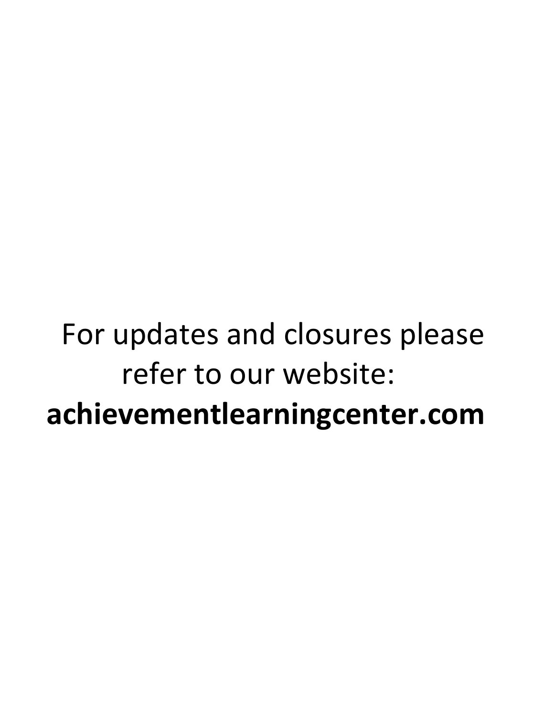# For updates and closures please refer to our website:  **achievementlearningcenter.com**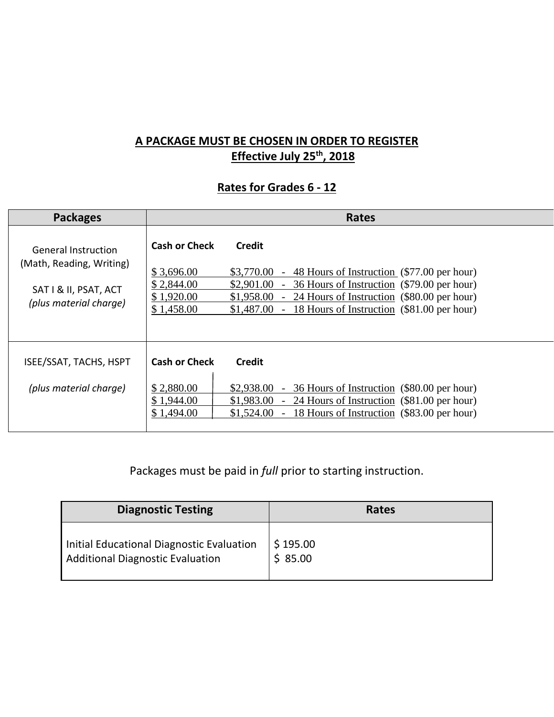#### **A PACKAGE MUST BE CHOSEN IN ORDER TO REGISTER Effective July 25th, 2018**

#### **Rates for Grades 6 - 12**

| <b>Packages</b>                                                                                    | <b>Rates</b>                                                                 |                                                                                                                                                                                                                                                                                                                 |  |  |  |
|----------------------------------------------------------------------------------------------------|------------------------------------------------------------------------------|-----------------------------------------------------------------------------------------------------------------------------------------------------------------------------------------------------------------------------------------------------------------------------------------------------------------|--|--|--|
| General Instruction<br>(Math, Reading, Writing)<br>SAT I & II, PSAT, ACT<br>(plus material charge) | <b>Cash or Check</b><br>\$3,696.00<br>\$2,844.00<br>\$1,920.00<br>\$1,458.00 | <b>Credit</b><br>\$3,770.00<br>48 Hours of Instruction (\$77.00 per hour)<br>$\sim$<br>\$2,901.00<br>- 36 Hours of Instruction (\$79.00 per hour)<br>\$1,958.00<br>24 Hours of Instruction (\$80.00 per hour)<br>$\overline{\phantom{a}}$<br>\$1,487.00<br>18 Hours of Instruction (\$81.00 per hour)<br>$\sim$ |  |  |  |
| ISEE/SSAT, TACHS, HSPT<br>(plus material charge)                                                   | <b>Cash or Check</b><br>\$2,880.00<br>\$1,944.00<br>\$1,494.00               | <b>Credit</b><br>$$2,938.00$ - 36 Hours of Instruction (\$80.00 per hour)<br>$$1,983.00$ - 24 Hours of Instruction (\$81.00 per hour)<br>18 Hours of Instruction (\$83.00 per hour)<br>\$1,524.00<br>$\sim$ $-$                                                                                                 |  |  |  |

Packages must be paid in *full* prior to starting instruction.

| <b>Diagnostic Testing</b>                 | <b>Rates</b> |
|-------------------------------------------|--------------|
| Initial Educational Diagnostic Evaluation | \$195.00     |
| <b>Additional Diagnostic Evaluation</b>   | \$85.00      |